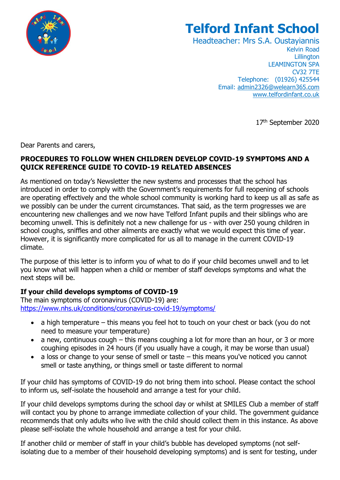

# **Telford Infant School**

Headteacher: Mrs S.A. Oustayiannis Kelvin Road **Lillington** LEAMINGTON SPA CV32 7TE Telephone: (01926) 425544 Email: [admin2326@welearn365.com](mailto:admin2326@welearn365.com) [www.telfordinfant.co.uk](http://www.telfordinfant.co.uk/)

17th September 2020

Dear Parents and carers,

### **PROCEDURES TO FOLLOW WHEN CHILDREN DEVELOP COVID-19 SYMPTOMS AND A QUICK REFERENCE GUIDE TO COVID-19 RELATED ABSENCES**

As mentioned on today's Newsletter the new systems and processes that the school has introduced in order to comply with the Government's requirements for full reopening of schools are operating effectively and the whole school community is working hard to keep us all as safe as we possibly can be under the current circumstances. That said, as the term progresses we are encountering new challenges and we now have Telford Infant pupils and their siblings who are becoming unwell. This is definitely not a new challenge for us - with over 250 young children in school coughs, sniffles and other ailments are exactly what we would expect this time of year. However, it is significantly more complicated for us all to manage in the current COVID-19 climate.

The purpose of this letter is to inform you of what to do if your child becomes unwell and to let you know what will happen when a child or member of staff develops symptoms and what the next steps will be.

# **If your child develops symptoms of COVID-19**

The main symptoms of coronavirus (COVID-19) are: <https://www.nhs.uk/conditions/coronavirus-covid-19/symptoms/>

- a high temperature this means you feel hot to touch on your chest or back (you do not need to measure your temperature)
- a new, continuous cough this means coughing a lot for more than an hour, or 3 or more coughing episodes in 24 hours (if you usually have a cough, it may be worse than usual)
- a loss or change to your sense of smell or taste this means you've noticed you cannot smell or taste anything, or things smell or taste different to normal

If your child has symptoms of COVID-19 do not bring them into school. Please contact the school to inform us, self-isolate the household and arrange a test for your child.

If your child develops symptoms during the school day or whilst at SMILES Club a member of staff will contact you by phone to arrange immediate collection of your child. The government guidance recommends that only adults who live with the child should collect them in this instance. As above please self-isolate the whole household and arrange a test for your child.

If another child or member of staff in your child's bubble has developed symptoms (not selfisolating due to a member of their household developing symptoms) and is sent for testing, under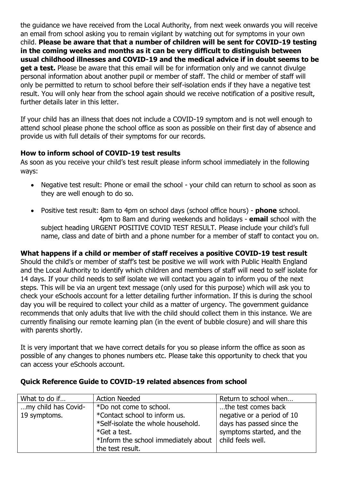the guidance we have received from the Local Authority, from next week onwards you will receive an email from school asking you to remain vigilant by watching out for symptoms in your own child. **Please be aware that that a number of children will be sent for COVID-19 testing in the coming weeks and months as it can be very difficult to distinguish between usual childhood illnesses and COVID-19 and the medical advice if in doubt seems to be get a test.** Please be aware that this email will be for information only and we cannot divulge personal information about another pupil or member of staff. The child or member of staff will only be permitted to return to school before their self-isolation ends if they have a negative test result. You will only hear from the school again should we receive notification of a positive result, further details later in this letter.

If your child has an illness that does not include a COVID-19 symptom and is not well enough to attend school please phone the school office as soon as possible on their first day of absence and provide us with full details of their symptoms for our records.

# **How to inform school of COVID-19 test results**

As soon as you receive your child's test result please inform school immediately in the following ways:

- Negative test result: Phone or email the school your child can return to school as soon as they are well enough to do so.
- Positive test result: 8am to 4pm on school days (school office hours) **phone** school. 4pm to 8am and during weekends and holidays - **email** school with the subject heading URGENT POSITIVE COVID TEST RESULT. Please include your child's full name, class and date of birth and a phone number for a member of staff to contact you on.

**What happens if a child or member of staff receives a positive COVID-19 test result** Should the child's or member of staff's test be positive we will work with Public Health England and the Local Authority to identify which children and members of staff will need to self isolate for 14 days. If your child needs to self isolate we will contact you again to inform you of the next steps. This will be via an urgent text message (only used for this purpose) which will ask you to check your eSchools account for a letter detailing further information. If this is during the school day you will be required to collect your child as a matter of urgency. The government guidance recommends that only adults that live with the child should collect them in this instance. We are

currently finalising our remote learning plan (in the event of bubble closure) and will share this with parents shortly.

It is very important that we have correct details for you so please inform the office as soon as possible of any changes to phones numbers etc. Please take this opportunity to check that you can access your eSchools account.

| What to do if       | <b>Action Needed</b>                 | Return to school when      |
|---------------------|--------------------------------------|----------------------------|
| my child has Covid- | *Do not come to school.              | the test comes back        |
| 19 symptoms.        | *Contact school to inform us.        | negative or a period of 10 |
|                     | *Self-isolate the whole household.   | days has passed since the  |
|                     | *Get a test.                         | symptoms started, and the  |
|                     | *Inform the school immediately about | child feels well.          |
|                     | the test result.                     |                            |

### **Quick Reference Guide to COVID-19 related absences from school**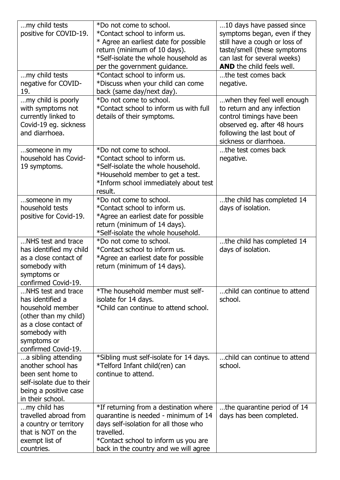| my child tests                                 | *Do not come to school.                                       | 10 days have passed since        |
|------------------------------------------------|---------------------------------------------------------------|----------------------------------|
| positive for COVID-19.                         | *Contact school to inform us.                                 | symptoms began, even if they     |
|                                                | * Agree an earliest date for possible                         | still have a cough or loss of    |
|                                                | return (minimum of 10 days).                                  | taste/smell (these symptoms      |
|                                                | *Self-isolate the whole household as                          | can last for several weeks)      |
|                                                | per the government guidance.                                  | <b>AND</b> the child feels well. |
| my child tests                                 | *Contact school to inform us.                                 | the test comes back              |
| negative for COVID-                            | *Discuss when your child can come                             | negative.                        |
| 19.                                            | back (same day/next day).                                     |                                  |
| my child is poorly                             | *Do not come to school.                                       | when they feel well enough       |
| with symptoms not                              | *Contact school to inform us with full                        | to return and any infection      |
| currently linked to                            | details of their symptoms.                                    | control timings have been        |
| Covid-19 eg. sickness                          |                                                               | observed eg. after 48 hours      |
| and diarrhoea.                                 |                                                               | following the last bout of       |
|                                                |                                                               | sickness or diarrhoea.           |
| someone in my                                  | *Do not come to school.                                       | the test comes back              |
| household has Covid-                           | *Contact school to inform us.                                 | negative.                        |
| 19 symptoms.                                   | *Self-isolate the whole household.                            |                                  |
|                                                | *Household member to get a test.                              |                                  |
|                                                | *Inform school immediately about test                         |                                  |
|                                                | result.                                                       |                                  |
| someone in my                                  | *Do not come to school.                                       | the child has completed 14       |
| household tests                                | *Contact school to inform us.                                 | days of isolation.               |
| positive for Covid-19.                         | *Agree an earliest date for possible                          |                                  |
|                                                | return (minimum of 14 days).                                  |                                  |
|                                                | *Self-isolate the whole household.                            |                                  |
| NHS test and trace                             | *Do not come to school.                                       | the child has completed 14       |
| has identified my child                        | *Contact school to inform us.                                 | days of isolation.               |
| as a close contact of                          | *Agree an earliest date for possible                          |                                  |
| somebody with                                  | return (minimum of 14 days).                                  |                                  |
| symptoms or                                    |                                                               |                                  |
| confirmed Covid-19.                            | *The household member must self-                              |                                  |
| NHS test and trace<br>has identified a         |                                                               | child can continue to attend     |
| household member                               | isolate for 14 days.<br>*Child can continue to attend school. | school.                          |
|                                                |                                                               |                                  |
| (other than my child)<br>as a close contact of |                                                               |                                  |
|                                                |                                                               |                                  |
| somebody with<br>symptoms or                   |                                                               |                                  |
| confirmed Covid-19.                            |                                                               |                                  |
| a sibling attending                            | *Sibling must self-isolate for 14 days.                       | child can continue to attend     |
| another school has                             | *Telford Infant child(ren) can                                | school.                          |
| been sent home to                              | continue to attend.                                           |                                  |
| self-isolate due to their                      |                                                               |                                  |
| being a positive case                          |                                                               |                                  |
| in their school.                               |                                                               |                                  |
| my child has                                   | *If returning from a destination where                        | the quarantine period of 14      |
| travelled abroad from                          | quarantine is needed - minimum of 14                          | days has been completed.         |
| a country or territory                         | days self-isolation for all those who                         |                                  |
| that is NOT on the                             | travelled.                                                    |                                  |
| exempt list of                                 | *Contact school to inform us you are                          |                                  |
|                                                |                                                               |                                  |